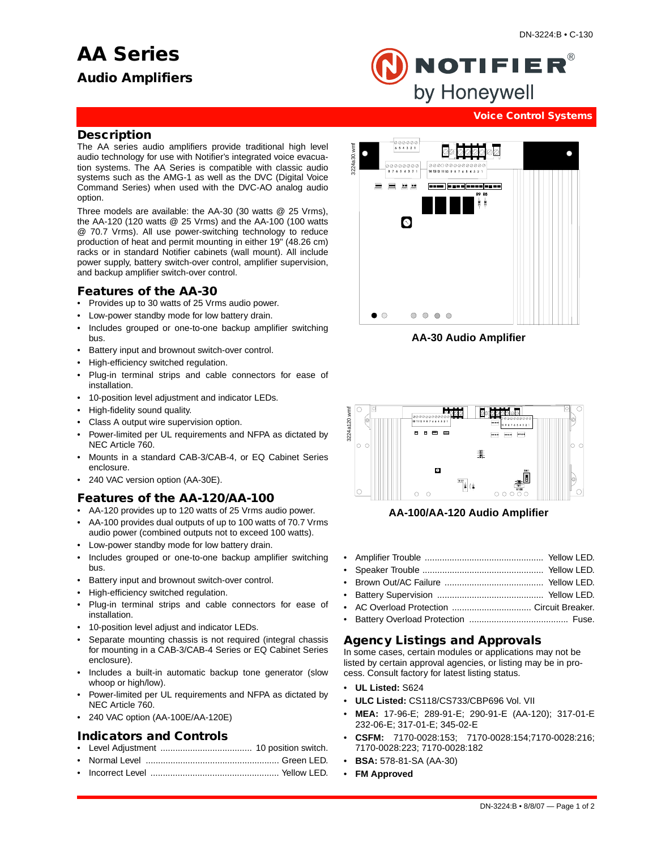# **AA Series**



NOTIFIER $^\circ$ by Honeywell

#### **Voice Control Systems**

#### **Description**

The AA series audio amplifiers provide traditional high level audio technology for use with Notifier's integrated voice evacuation systems. The AA Series is compatible with classic audio systems such as the AMG-1 as well as the DVC (Digital Voice Command Series) when used with the DVC-AO analog audio option.

Three models are available: the AA-30 (30 watts @ 25 Vrms), the AA-120 (120 watts @ 25 Vrms) and the AA-100 (100 watts @ 70.7 Vrms). All use power-switching technology to reduce production of heat and permit mounting in either 19" (48.26 cm) racks or in standard Notifier cabinets (wall mount). All include power supply, battery switch-over control, amplifier supervision, and backup amplifier switch-over control.

## **Features of the AA-30**

- Provides up to 30 watts of 25 Vrms audio power.
- Low-power standby mode for low battery drain.
- Includes grouped or one-to-one backup amplifier switching bus.
- Battery input and brownout switch-over control.
- High-efficiency switched regulation.
- Plug-in terminal strips and cable connectors for ease of installation.
- 10-position level adjustment and indicator LEDs.
- High-fidelity sound quality.
- Class A output wire supervision option.
- Power-limited per UL requirements and NFPA as dictated by NEC Article 760.
- Mounts in a standard CAB-3/CAB-4, or EQ Cabinet Series enclosure.
- 240 VAC version option (AA-30E).

#### **Features of the AA-120/AA-100**

- AA-120 provides up to 120 watts of 25 Vrms audio power.
- AA-100 provides dual outputs of up to 100 watts of 70.7 Vrms
- audio power (combined outputs not to exceed 100 watts). • Low-power standby mode for low battery drain.
- Includes grouped or one-to-one backup amplifier switching
- Battery input and brownout switch-over control.
- High-efficiency switched regulation.

bus.

- Plug-in terminal strips and cable connectors for ease of installation.
- 10-position level adjust and indicator LEDs.
- Separate mounting chassis is not required (integral chassis for mounting in a CAB-3/CAB-4 Series or EQ Cabinet Series enclosure).
- Includes a built-in automatic backup tone generator (slow whoop or high/low).
- Power-limited per UL requirements and NFPA as dictated by NEC Article 760.
- 240 VAC option (AA-100E/AA-120E)

## **Indicators and Controls**

- Level Adjustment ..................................... 10 position switch.
- Normal Level ...................................................... Green LED.
- Incorrect Level .................................................... Yellow LED.







#### **AA-100/AA-120 Audio Amplifier**

- Amplifier Trouble ................................................ Yellow LED.
- Speaker Trouble ................................................. Yellow LED.
- Brown Out/AC Failure ........................................ Yellow LED.
- Battery Supervision ........................................... Yellow LED.
- AC Overload Protection ................................ Circuit Breaker.
- Battery Overload Protection ........................................ Fuse.

## **Agency Listings and Approvals**

In some cases, certain modules or applications may not be listed by certain approval agencies, or listing may be in process. Consult factory for latest listing status.

- **UL Listed:** S624
- **ULC Listed:** CS118/CS733/CBP696 Vol. VII
- **MEA:** 17-96-E; 289-91-E; 290-91-E (AA-120); 317-01-E 232-06-E; 317-01-E; 345-02-E
- **CSFM:** 7170-0028:153; 7170-0028:154;7170-0028:216; 7170-0028:223; 7170-0028:182
- **BSA:** 578-81-SA (AA-30)
- **FM Approved**